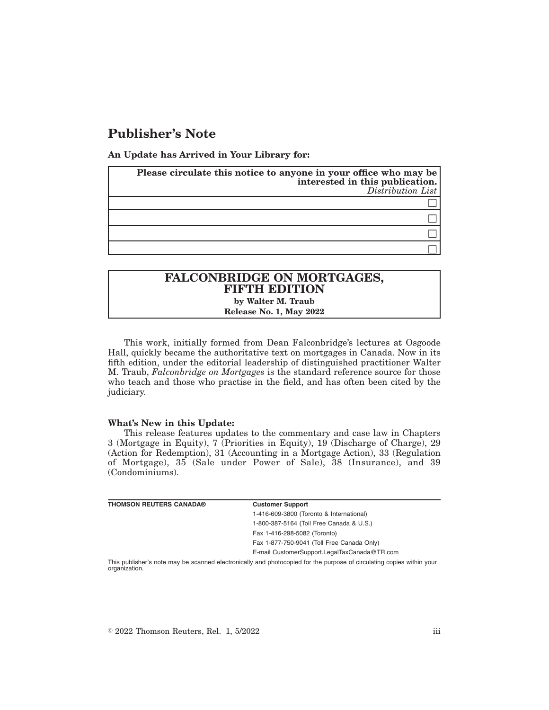# **Publisher's Note**

**An Update has Arrived in Your Library for:**

| Please circulate this notice to anyone in your office who may be | interested in this publication.<br>Distribution List |
|------------------------------------------------------------------|------------------------------------------------------|
|                                                                  |                                                      |
|                                                                  |                                                      |
|                                                                  |                                                      |
|                                                                  |                                                      |

## **FALCONBRIDGE ON MORTGAGES, FIFTH EDITION by Walter M. Traub Release No. 1, May 2022**

This work, initially formed from Dean Falconbridge's lectures at Osgoode Hall, quickly became the authoritative text on mortgages in Canada. Now in its fifth edition, under the editorial leadership of distinguished practitioner Walter M. Traub, *Falconbridge on Mortgages* is the standard reference source for those who teach and those who practise in the field, and has often been cited by the judiciary.

#### **What's New in this Update:**

This release features updates to the commentary and case law in Chapters 3 (Mortgage in Equity), 7 (Priorities in Equity), 19 (Discharge of Charge), 29 (Action for Redemption), 31 (Accounting in a Mortgage Action), 33 (Regulation of Mortgage), 35 (Sale under Power of Sale), 38 (Insurance), and 39 (Condominiums).

| <b>THOMSON REUTERS CANADA®</b> | <b>Customer Support</b>                                                                                                |
|--------------------------------|------------------------------------------------------------------------------------------------------------------------|
|                                | 1-416-609-3800 (Toronto & International)                                                                               |
|                                | 1-800-387-5164 (Toll Free Canada & U.S.)                                                                               |
|                                | Fax 1-416-298-5082 (Toronto)                                                                                           |
|                                | Fax 1-877-750-9041 (Toll Free Canada Only)                                                                             |
|                                | E-mail CustomerSupport.LegalTaxCanada@TR.com                                                                           |
|                                | This mublished a note more be seconded electronically and photosopical for the mumens of simulation secies within your |

This publisher's note may be scanned electronically and photocopied for the purpose of circulating copies within your organization.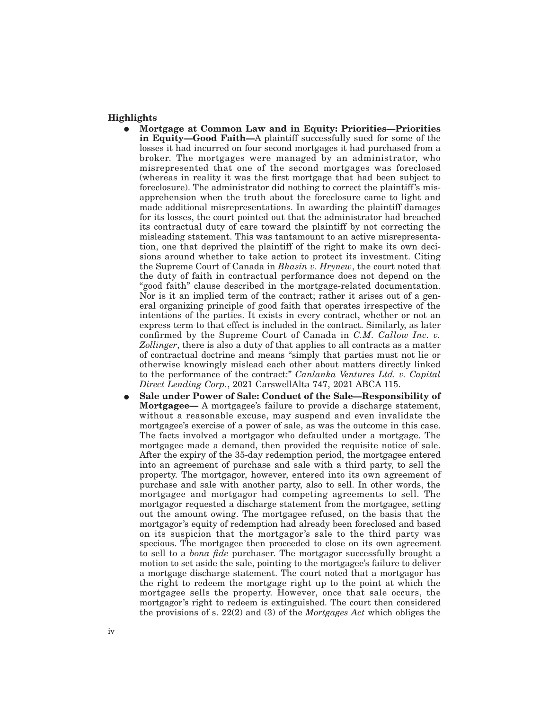#### **Highlights**

- E **Mortgage at Common Law and in Equity: Priorities—Priorities in Equity—Good Faith—**A plaintiff successfully sued for some of the losses it had incurred on four second mortgages it had purchased from a broker. The mortgages were managed by an administrator, who misrepresented that one of the second mortgages was foreclosed (whereas in reality it was the first mortgage that had been subject to foreclosure). The administrator did nothing to correct the plaintiff's misapprehension when the truth about the foreclosure came to light and made additional misrepresentations. In awarding the plaintiff damages for its losses, the court pointed out that the administrator had breached its contractual duty of care toward the plaintiff by not correcting the misleading statement. This was tantamount to an active misrepresentation, one that deprived the plaintiff of the right to make its own decisions around whether to take action to protect its investment. Citing the Supreme Court of Canada in *Bhasin v. Hrynew*, the court noted that the duty of faith in contractual performance does not depend on the "good faith" clause described in the mortgage-related documentation. Nor is it an implied term of the contract; rather it arises out of a general organizing principle of good faith that operates irrespective of the intentions of the parties. It exists in every contract, whether or not an express term to that effect is included in the contract. Similarly, as later confirmed by the Supreme Court of Canada in *C.M. Callow Inc. v. Zollinger*, there is also a duty of that applies to all contracts as a matter of contractual doctrine and means "simply that parties must not lie or otherwise knowingly mislead each other about matters directly linked to the performance of the contract:" *Canlanka Ventures Ltd. v. Capital Direct Lending Corp.*, 2021 CarswellAlta 747, 2021 ABCA 115.
- E **Sale under Power of Sale: Conduct of the Sale—Responsibility of Mortgagee—** A mortgagee's failure to provide a discharge statement, without a reasonable excuse, may suspend and even invalidate the mortgagee's exercise of a power of sale, as was the outcome in this case. The facts involved a mortgagor who defaulted under a mortgage. The mortgagee made a demand, then provided the requisite notice of sale. After the expiry of the 35-day redemption period, the mortgagee entered into an agreement of purchase and sale with a third party, to sell the property. The mortgagor, however, entered into its own agreement of purchase and sale with another party, also to sell. In other words, the mortgagee and mortgagor had competing agreements to sell. The mortgagor requested a discharge statement from the mortgagee, setting out the amount owing. The mortgagee refused, on the basis that the mortgagor's equity of redemption had already been foreclosed and based on its suspicion that the mortgagor's sale to the third party was specious. The mortgagee then proceeded to close on its own agreement to sell to a *bona fide* purchaser. The mortgagor successfully brought a motion to set aside the sale, pointing to the mortgagee's failure to deliver a mortgage discharge statement. The court noted that a mortgagor has the right to redeem the mortgage right up to the point at which the mortgagee sells the property. However, once that sale occurs, the mortgagor's right to redeem is extinguished. The court then considered the provisions of s. 22(2) and (3) of the *Mortgages Act* which obliges the